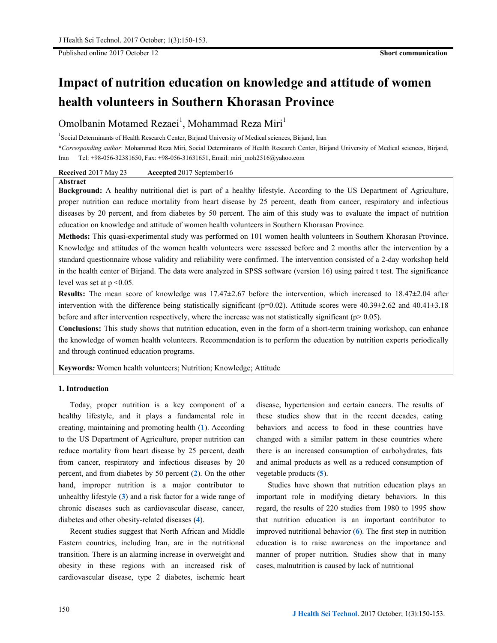Published online 2017 October 12 **Short communication**

# **Impact of nutrition education on knowledge and attitude of women health volunteers in Southern Khorasan Province**

# Omolbanin Motamed Rezaei $^1$ , Mohammad Reza Miri $^1$

<sup>1</sup> Social Determinants of Health Research Center, Birjand University of Medical sciences, Birjand, Iran

**\****Corresponding author*: Mohammad Reza Miri, Social Determinants of Health Research Center, Birjand University of Medical sciences, Birjand, Iran Tel: +98-056-32381650, Fax: +98-056-31631651, Email: miri\_moh2516@yahoo.com

**Received** 2017 May 23 **Accepted** 2017 September16

#### **Abstract**

**Background:** A healthy nutritional diet is part of a healthy lifestyle. According to the US Department of Agriculture, proper nutrition can reduce mortality from heart disease by 25 percent, death from cancer, respiratory and infectious diseases by 20 percent, and from diabetes by 50 percent. The aim of this study was to evaluate the impact of nutrition education on knowledge and attitude of women health volunteers in Southern Khorasan Province.

**Methods:** This quasi-experimental study was performed on 101 women health volunteers in Southern Khorasan Province. Knowledge and attitudes of the women health volunteers were assessed before and 2 months after the intervention by a standard questionnaire whose validity and reliability were confirmed. The intervention consisted of a 2-day workshop held in the health center of Birjand. The data were analyzed in SPSS software (version 16) using paired t test. The significance level was set at p <0.05.

**Results:** The mean score of knowledge was 17.47±2.67 before the intervention, which increased to 18.47±2.04 after intervention with the difference being statistically significant ( $p=0.02$ ). Attitude scores were 40.39 $\pm$ 2.62 and 40.41 $\pm$ 3.18 before and after intervention respectively, where the increase was not statistically significant ( $p$  > 0.05).

**Conclusions:** This study shows that nutrition education, even in the form of a short-term training workshop, can enhance the knowledge of women health volunteers. Recommendation is to perform the education by nutrition experts periodically and through continued education programs.

**Keywords***:* Women health volunteers; Nutrition; Knowledge; Attitude

# **1. Introduction**

Today, proper nutrition is a key component of a healthy lifestyle, and it plays a fundamental role in creating, maintaining and promoting health (**1**). According to the US Department of Agriculture, proper nutrition can reduce mortality from heart disease by 25 percent, death from cancer, respiratory and infectious diseases by 20 percent, and from diabetes by 50 percent (**2**). On the other hand, improper nutrition is a major contributor to unhealthy lifestyle (**3**) and a risk factor for a wide range of chronic diseases such as cardiovascular disease, cancer, diabetes and other obesity-related diseases (**4**).

Recent studies suggest that North African and Middle Eastern countries, including Iran, are in the nutritional transition. There is an alarming increase in overweight and obesity in these regions with an increased risk of cardiovascular disease, type 2 diabetes, ischemic heart disease, hypertension and certain cancers. The results of these studies show that in the recent decades, eating behaviors and access to food in these countries have changed with a similar pattern in these countries where there is an increased consumption of carbohydrates, fats and animal products as well as a reduced consumption of vegetable products (**5**).

Studies have shown that nutrition education plays an important role in modifying dietary behaviors. In this regard, the results of 220 studies from 1980 to 1995 show that nutrition education is an important contributor to improved nutritional behavior (**6**). The first step in nutrition education is to raise awareness on the importance and manner of proper nutrition. Studies show that in many cases, malnutrition is caused by lack of nutritional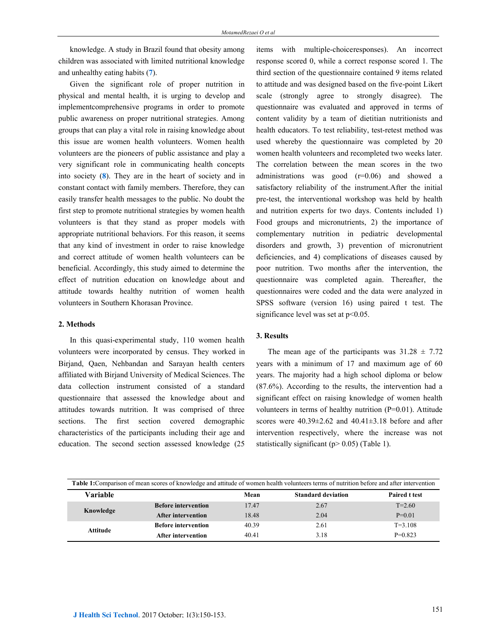knowledge. A study in Brazil found that obesity among children was associated with limited nutritional knowledge and unhealthy eating habits (**7**).

Given the significant role of proper nutrition in physical and mental health, it is urging to develop and implementcomprehensive programs in order to promote public awareness on proper nutritional strategies. Among groups that can play a vital role in raising knowledge about this issue are women health volunteers. Women health volunteers are the pioneers of public assistance and play a very significant role in communicating health concepts into society (**8**). They are in the heart of society and in constant contact with family members. Therefore, they can easily transfer health messages to the public. No doubt the first step to promote nutritional strategies by women health volunteers is that they stand as proper models with appropriate nutritional behaviors. For this reason, it seems that any kind of investment in order to raise knowledge and correct attitude of women health volunteers can be beneficial. Accordingly, this study aimed to determine the effect of nutrition education on knowledge about and attitude towards healthy nutrition of women health volunteers in Southern Khorasan Province.

# **2. Methods**

In this quasi-experimental study, 110 women health volunteers were incorporated by census. They worked in Birjand, Qaen, Nehbandan and Sarayan health centers affiliated with Birjand University of Medical Sciences. The data collection instrument consisted of a standard questionnaire that assessed the knowledge about and attitudes towards nutrition. It was comprised of three sections. The first section covered demographic characteristics of the participants including their age and education. The second section assessed knowledge (25 items with multiple-choiceresponses). An incorrect response scored 0, while a correct response scored 1. The third section of the questionnaire contained 9 items related to attitude and was designed based on the five-point Likert scale (strongly agree to strongly disagree). The questionnaire was evaluated and approved in terms of content validity by a team of dietitian nutritionists and health educators. To test reliability, test-retest method was used whereby the questionnaire was completed by 20 women health volunteers and recompleted two weeks later. The correlation between the mean scores in the two administrations was good (r=0.06) and showed a satisfactory reliability of the instrument.After the initial pre-test, the interventional workshop was held by health and nutrition experts for two days. Contents included 1) Food groups and micronutrients, 2) the importance of complementary nutrition in pediatric developmental disorders and growth, 3) prevention of micronutrient deficiencies, and 4) complications of diseases caused by poor nutrition. Two months after the intervention, the questionnaire was completed again. Thereafter, the questionnaires were coded and the data were analyzed in SPSS software (version 16) using paired t test. The significance level was set at  $p<0.05$ .

# **3. Results**

The mean age of the participants was  $31.28 \pm 7.72$ years with a minimum of 17 and maximum age of 60 years. The majority had a high school diploma or below (87.6%). According to the results, the intervention had a significant effect on raising knowledge of women health volunteers in terms of healthy nutrition (P=0.01). Attitude scores were  $40.39 \pm 2.62$  and  $40.41 \pm 3.18$  before and after intervention respectively, where the increase was not statistically significant ( $p > 0.05$ ) (Table 1).

| Table 1: Comparison of mean scores of knowledge and attitude of women health volunteers terms of nutrition before and after intervention |                            |       |                           |                      |
|------------------------------------------------------------------------------------------------------------------------------------------|----------------------------|-------|---------------------------|----------------------|
| <b>Variable</b>                                                                                                                          |                            | Mean  | <b>Standard deviation</b> | <b>Paired t test</b> |
| Knowledge                                                                                                                                | <b>Before intervention</b> | 17.47 | 2.67                      | $T = 2.60$           |
|                                                                                                                                          | After intervention         | 18.48 | 2.04                      | $P=0.01$             |
| Attitude                                                                                                                                 | <b>Before intervention</b> | 40.39 | 2.61                      | $T = 3.108$          |
|                                                                                                                                          | After intervention         | 40.41 | 3.18                      | $P=0.823$            |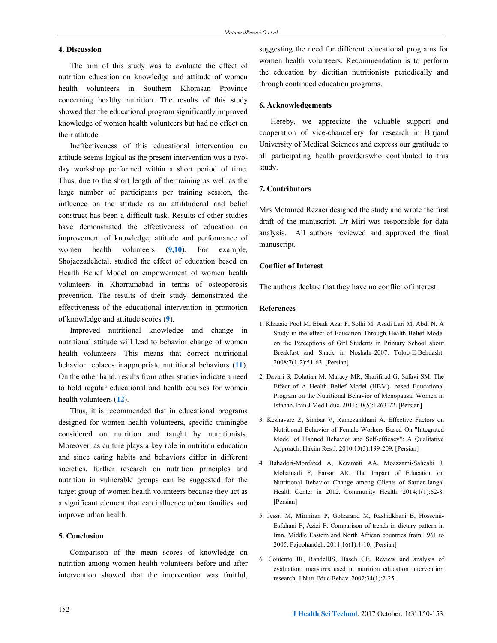# **4. Discussion**

The aim of this study was to evaluate the effect of nutrition education on knowledge and attitude of women health volunteers in Southern Khorasan Province concerning healthy nutrition. The results of this study showed that the educational program significantly improved knowledge of women health volunteers but had no effect on their attitude.

Ineffectiveness of this educational intervention on attitude seems logical as the present intervention was a twoday workshop performed within a short period of time. Thus, due to the short length of the training as well as the large number of participants per training session, the influence on the attitude as an attititudenal and belief construct has been a difficult task. Results of other studies have demonstrated the effectiveness of education on improvement of knowledge, attitude and performance of women health volunteers (**9,10**). For example, Shojaezadehetal. studied the effect of education besed on Health Belief Model on empowerment of women health volunteers in Khorramabad in terms of osteoporosis prevention. The results of their study demonstrated the effectiveness of the educational intervention in promotion of knowledge and attitude scores (**9**).

Improved nutritional knowledge and change in nutritional attitude will lead to behavior change of women health volunteers. This means that correct nutritional behavior replaces inappropriate nutritional behaviors (**11**). On the other hand, results from other studies indicate a need to hold regular educational and health courses for women health volunteers (**12**).

Thus, it is recommended that in educational programs designed for women health volunteers, specific trainingbe considered on nutrition and taught by nutritionists. Moreover, as culture plays a key role in nutrition education and since eating habits and behaviors differ in different societies, further research on nutrition principles and nutrition in vulnerable groups can be suggested for the target group of women health volunteers because they act as a significant element that can influence urban families and improve urban health.

# **5. Conclusion**

Comparison of the mean scores of knowledge on nutrition among women health volunteers before and after intervention showed that the intervention was fruitful, suggesting the need for different educational programs for women health volunteers. Recommendation is to perform the education by dietitian nutritionists periodically and through continued education programs.

# **6. Acknowledgements**

Hereby, we appreciate the valuable support and cooperation of vice-chancellery for research in Birjand University of Medical Sciences and express our gratitude to all participating health providerswho contributed to this study.

#### **7. Contributors**

Mrs Motamed Rezaei designed the study and wrote the first draft of the manuscript. Dr Miri was responsible for data analysis. All authors reviewed and approved the final manuscript.

# **Conflict of Interest**

The authors declare that they have no conflict of interest.

#### **References**

- 1. Khazaie Pool M, Ebadi Azar F, Solhi M, Asadi Lari M, Abdi N. A Study in the effect of Education Through Health Belief Model on the Perceptions of Girl Students in Primary School about Breakfast and Snack in Noshahr-2007. Toloo-E-Behdasht. 2008;7(1-2):51-63. [Persian]
- 2. Davari S, Dolatian M, Maracy MR, Sharifirad G, Safavi SM. The Effect of A Health Belief Model (HBM)- based Educational Program on the Nutritional Behavior of Menopausal Women in Isfahan. Iran J Med Educ. 2011;10(5):1263-72. [Persian]
- 3. Keshavarz Z, Simbar V, Ramezankhani A. Effective Factors on Nutritional Behavior of Female Workers Based On "Integrated Model of Planned Behavior and Self-efficacy": A Qualitative Approach. Hakim Res J. 2010;13(3):199-209. [Persian]
- 4. Bahadori-Monfared A, Keramati AA, Moazzami-Sahzabi J, Mohamadi F, Farsar AR. The Impact of Education on Nutritional Behavior Change among Clients of Sardar-Jangal Health Center in 2012. Community Health. 2014;1(1):62-8. [Persian]
- 5. Jessri M, Mirmiran P, Golzarand M, Rashidkhani B, Hosseini-Esfahani F, Azizi F. Comparison of trends in dietary pattern in Iran, Middle Eastern and North African countries from 1961 to 2005. Pajoohandeh. 2011;16(1):1-10. [Persian]
- 6. Contento IR, RandellJS, Basch CE. Review and analysis of evaluation: measures used in nutrition education intervention research. J Nutr Educ Behav. 2002;34(1):2-25.